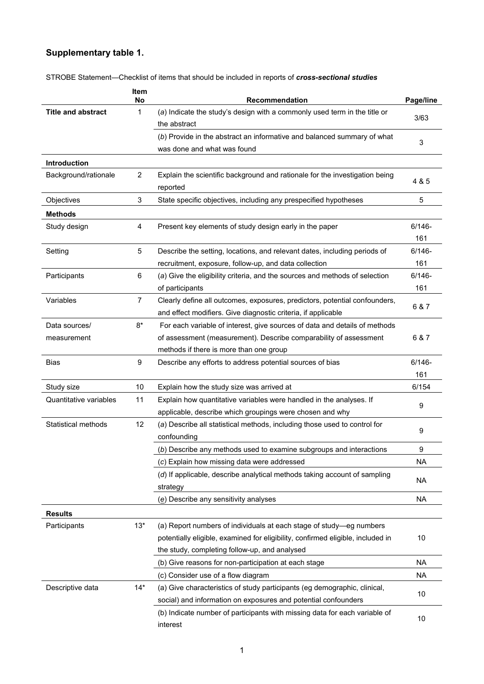## **Supplementary table 1.**

|                              | Item<br>No     | Recommendation                                                                                                                                                                                          | Page/line        |
|------------------------------|----------------|---------------------------------------------------------------------------------------------------------------------------------------------------------------------------------------------------------|------------------|
| <b>Title and abstract</b>    | 1              | (a) Indicate the study's design with a commonly used term in the title or<br>the abstract                                                                                                               | 3/63             |
|                              |                | (b) Provide in the abstract an informative and balanced summary of what<br>was done and what was found                                                                                                  | 3                |
| Introduction                 |                |                                                                                                                                                                                                         |                  |
| Background/rationale         | $\overline{2}$ | Explain the scientific background and rationale for the investigation being<br>reported                                                                                                                 | 4 & 5            |
| Objectives                   | 3              | State specific objectives, including any prespecified hypotheses                                                                                                                                        | 5                |
| <b>Methods</b>               |                |                                                                                                                                                                                                         |                  |
| Study design                 | 4              | Present key elements of study design early in the paper                                                                                                                                                 | $6/146 -$<br>161 |
| Setting                      | 5              | Describe the setting, locations, and relevant dates, including periods of                                                                                                                               | $6/146 -$        |
|                              |                | recruitment, exposure, follow-up, and data collection                                                                                                                                                   | 161              |
| Participants                 | 6              | (a) Give the eligibility criteria, and the sources and methods of selection<br>of participants                                                                                                          | $6/146 -$<br>161 |
| Variables                    | $\overline{7}$ | Clearly define all outcomes, exposures, predictors, potential confounders,<br>and effect modifiers. Give diagnostic criteria, if applicable                                                             | 6 & 7            |
| Data sources/<br>measurement | $8*$           | For each variable of interest, give sources of data and details of methods<br>of assessment (measurement). Describe comparability of assessment<br>methods if there is more than one group              | 6 & 7            |
| <b>Bias</b>                  | 9              | Describe any efforts to address potential sources of bias                                                                                                                                               | $6/146 -$        |
|                              |                |                                                                                                                                                                                                         | 161              |
| Study size                   | 10             | Explain how the study size was arrived at                                                                                                                                                               | 6/154            |
| Quantitative variables       | 11             | Explain how quantitative variables were handled in the analyses. If<br>applicable, describe which groupings were chosen and why                                                                         | 9                |
| <b>Statistical methods</b>   | 12             | (a) Describe all statistical methods, including those used to control for<br>confounding                                                                                                                | 9                |
|                              |                | (b) Describe any methods used to examine subgroups and interactions                                                                                                                                     | 9                |
|                              |                | (c) Explain how missing data were addressed                                                                                                                                                             | <b>NA</b>        |
|                              |                | (d) If applicable, describe analytical methods taking account of sampling<br>strategy                                                                                                                   | <b>NA</b>        |
|                              |                | (e) Describe any sensitivity analyses                                                                                                                                                                   | <b>NA</b>        |
| <b>Results</b>               |                |                                                                                                                                                                                                         |                  |
| Participants                 | $13*$          | (a) Report numbers of individuals at each stage of study-eg numbers<br>potentially eligible, examined for eligibility, confirmed eligible, included in<br>the study, completing follow-up, and analysed | 10               |
|                              |                | (b) Give reasons for non-participation at each stage                                                                                                                                                    | <b>NA</b>        |
|                              |                | (c) Consider use of a flow diagram                                                                                                                                                                      | <b>NA</b>        |
| Descriptive data             | $14*$          | (a) Give characteristics of study participants (eg demographic, clinical,<br>social) and information on exposures and potential confounders                                                             | 10               |
|                              |                | (b) Indicate number of participants with missing data for each variable of<br>interest                                                                                                                  | 10               |

STROBE Statement—Checklist of items that should be included in reports of *cross-sectional studies*